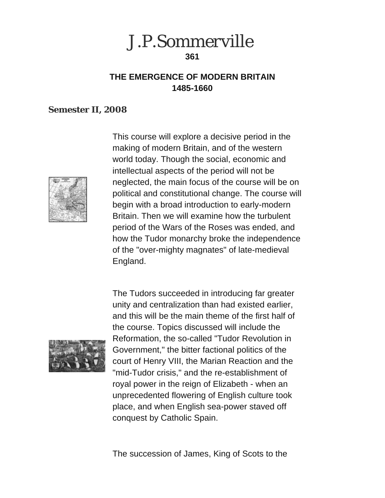

# **THE EMERGENCE OF MODERN BRITAIN 1485-1660**

#### **Semester II, 2008**



This course will explore a decisive period in the making of modern Britain, and of the western world today. Though the social, economic and intellectual aspects of the period will not be neglected, the main focus of the course will be on political and constitutional change. The course will begin with a broad introduction to early-modern Britain. Then we will examine how the turbulent period of the Wars of the Roses was ended, and how the Tudor monarchy broke the independence of the "over-mighty magnates" of late-medieval England.



The Tudors succeeded in introducing far greater unity and centralization than had existed earlier, and this will be the main theme of the first half of the course. Topics discussed will include the Reformation, the so-called "Tudor Revolution in Government," the bitter factional politics of the court of Henry VIII, the Marian Reaction and the "mid-Tudor crisis," and the re-establishment of royal power in the reign of Elizabeth - when an unprecedented flowering of English culture took place, and when English sea-power staved off conquest by Catholic Spain.

The succession of James, King of Scots to the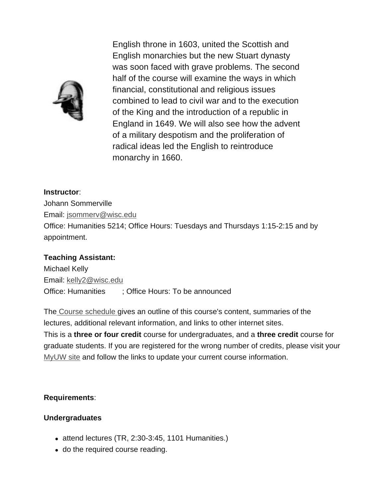

English throne in 1603, united the Scottish and English monarchies but the new Stuart dynasty was soon faced with grave problems. The second half of the course will examine the ways in which financial, constitutional and religious issues combined to lead to civil war and to the execution of the King and the introduction of a republic in England in 1649. We will also see how the advent of a military despotism and the proliferation of radical ideas led the English to reintroduce monarchy in 1660.

**Instructor**: Johann Sommerville Email: jsommerv@wisc.edu Office: Humanities 5214; Office Hours: Tuesdays and Thursdays 1:15-2:15 and by appointment.

#### **Teaching Assistant:**

Michael Kelly Email: kelly2@wisc.edu Office: Humanities ; Office Hours: To be announced

The Course schedule gives an outline of this course's content, summaries of the lectures, additional relevant information, and links to other internet sites. This is a **three or four credit** course for undergraduates, and a **three credit** course for graduate students. If you are registered for the wrong number of credits, please visit your MyUW site and follow the links to update your current course information.

#### **Requirements**:

#### **Undergraduates**

- $\bullet$  attend lectures (TR, 2:30-3:45, 1101 Humanities.)
- do the required course reading.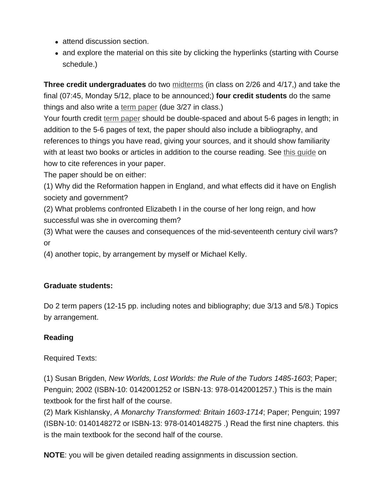- attend discussion section.
- and explore the material on this site by clicking the hyperlinks (starting with Course schedule.)

**Three credit undergraduates** do two midterms (in class on 2/26 and 4/17,) and take the final (07:45, Monday 5/12, place to be announced;) **four credit students** do the same things and also write a term paper (due 3/27 in class.)

Your fourth credit term paper should be double-spaced and about 5-6 pages in length; in addition to the 5-6 pages of text, the paper should also include a bibliography, and references to things you have read, giving your sources, and it should show familiarity with at least two books or articles in addition to the course reading. See this guide on how to cite references in your paper.

The paper should be on either:

(1) Why did the Reformation happen in England, and what effects did it have on English society and government?

(2) What problems confronted Elizabeth I in the course of her long reign, and how successful was she in overcoming them?

(3) What were the causes and consequences of the mid-seventeenth century civil wars? or

(4) another topic, by arrangement by myself or Michael Kelly.

#### **Graduate students:**

Do 2 term papers (12-15 pp. including notes and bibliography; due 3/13 and 5/8.) Topics by arrangement.

### **Reading**

Required Texts:

(1) Susan Brigden, *New Worlds, Lost Worlds: the Rule of the Tudors 1485-1603*; Paper; Penguin; 2002 (ISBN-10: 0142001252 or ISBN-13: 978-0142001257.) This is the main textbook for the first half of the course.

(2) Mark Kishlansky, *A Monarchy Transformed: Britain 1603-1714*; Paper; Penguin; 1997 (ISBN-10: 0140148272 or ISBN-13: 978-0140148275 .) Read the first nine chapters. this is the main textbook for the second half of the course.

**NOTE**: you will be given detailed reading assignments in discussion section.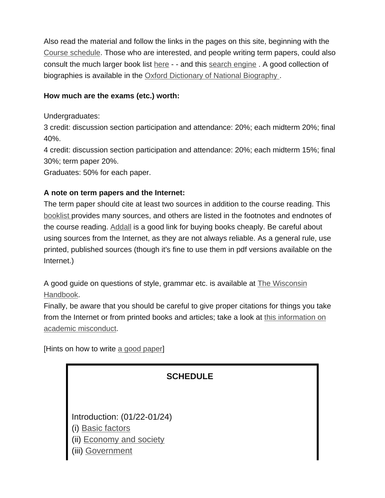Also read the material and follow the links in the pages on this site, beginning with the Course schedule. Those who are interested, and people writing term papers, could also consult the much larger book list here - - and this search engine . A good collection of biographies is available in the Oxford Dictionary of National Biography.

## **How much are the exams (etc.) worth:**

Undergraduates:

3 credit: discussion section participation and attendance: 20%; each midterm 20%; final 40%.

4 credit: discussion section participation and attendance: 20%; each midterm 15%; final 30%; term paper 20%.

Graduates: 50% for each paper.

## **A note on term papers and the Internet:**

The term paper should cite at least two sources in addition to the course reading. This booklist provides many sources, and others are listed in the footnotes and endnotes of the course reading. Addall is a good link for buying books cheaply. Be careful about using sources from the Internet, as they are not always reliable. As a general rule, use printed, published sources (though it's fine to use them in pdf versions available on the Internet.)

A good guide on questions of style, grammar etc. is available at The Wisconsin Handbook.

Finally, be aware that you should be careful to give proper citations for things you take from the Internet or from printed books and articles; take a look at this information on academic misconduct.

[Hints on how to write a good paper]

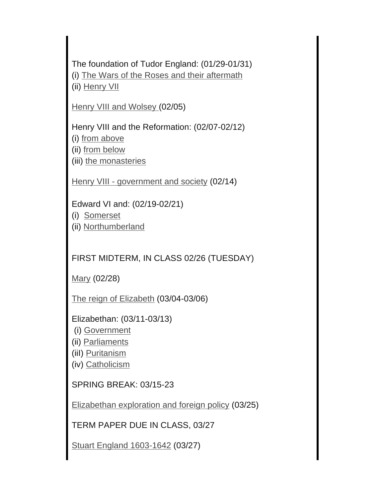The foundation of Tudor England: (01/29-01/31) (i) The Wars of the Roses and their aftermath (ii) Henry VII

Henry VIII and Wolsey (02/05)

Henry VIII and the Reformation: (02/07-02/12) (i) from above (ii) from below (iii) the monasteries

Henry VIII - government and society (02/14)

Edward VI and: (02/19-02/21)

- (i) Somerset
- (ii) Northumberland

FIRST MIDTERM, IN CLASS 02/26 (TUESDAY)

Mary (02/28)

The reign of Elizabeth (03/04-03/06)

Elizabethan: (03/11-03/13)

- (i) Government
- (ii) Parliaments
- (iiI) Puritanism
- (iv) Catholicism

SPRING BREAK: 03/15-23

Elizabethan exploration and foreign policy (03/25)

TERM PAPER DUE IN CLASS, 03/27

Stuart England 1603-1642 (03/27)